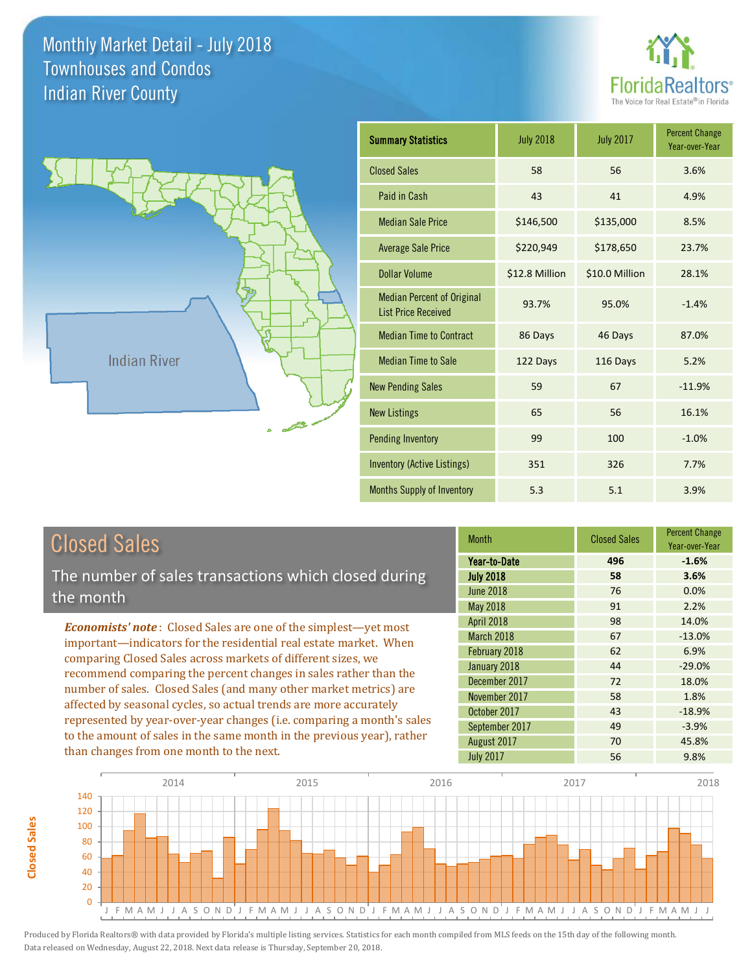



| <b>Closed Sales</b> |  |
|---------------------|--|
|                     |  |

**Closed Sales**

**Closed Sales** 

The number of sales transactions which closed during the month

*Economists' note* : Closed Sales are one of the simplest—yet most important—indicators for the residential real estate market. When comparing Closed Sales across markets of different sizes, we recommend comparing the percent changes in sales rather than the number of sales. Closed Sales (and many other market metrics) are affected by seasonal cycles, so actual trends are more accurately represented by year-over-year changes (i.e. comparing a month's sales to the amount of sales in the same month in the previous year), rather than changes from one month to the next.

| <b>Month</b>     | <b>Closed Sales</b> | <b>Percent Change</b><br>Year-over-Year |  |
|------------------|---------------------|-----------------------------------------|--|
| Year-to-Date     | 496                 | $-1.6%$                                 |  |
| <b>July 2018</b> | 58                  | 3.6%                                    |  |
| <b>June 2018</b> | 76                  | 0.0%                                    |  |
| <b>May 2018</b>  | 91                  | 2.2%                                    |  |
| April 2018       | 98                  | 14.0%                                   |  |
| March 2018       | 67                  | $-13.0%$                                |  |
| February 2018    | 62                  | 6.9%                                    |  |
| January 2018     | 44                  | $-29.0%$                                |  |
| December 2017    | 72                  | 18.0%                                   |  |
| November 2017    | 58                  | 1.8%                                    |  |
| October 2017     | 43                  | $-18.9%$                                |  |
| September 2017   | 49                  | $-3.9%$                                 |  |
| August 2017      | 70                  | 45.8%                                   |  |
| <b>July 2017</b> | 56                  | 9.8%                                    |  |

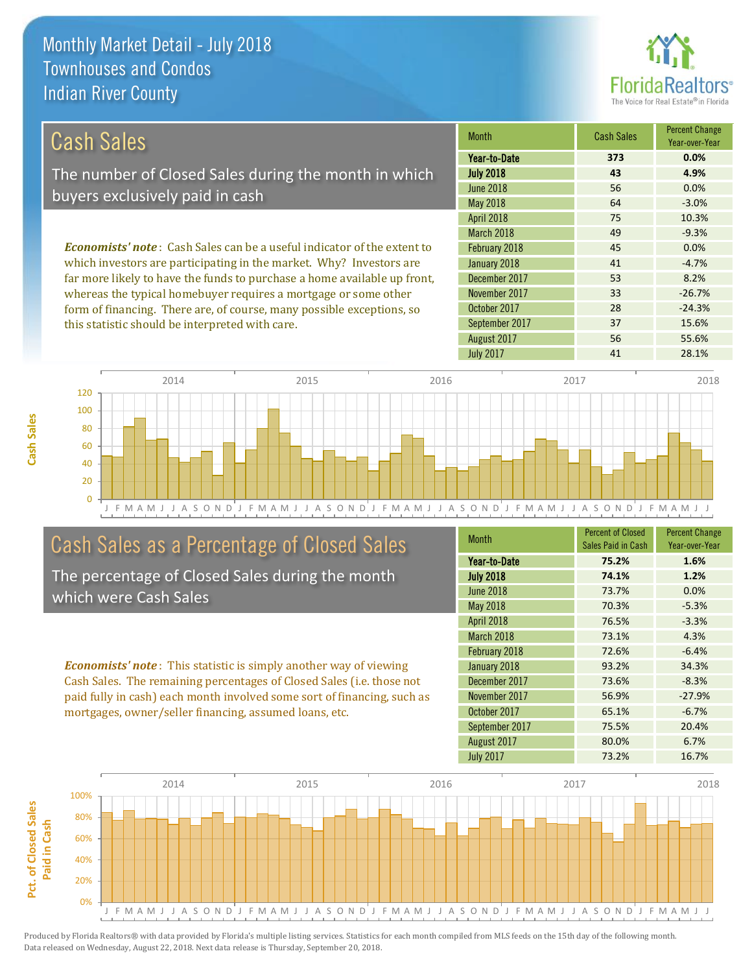

| Cash Sales                                                                     | <b>Month</b>      | <b>Cash Sales</b> | <b>Percent Change</b><br>Year-over-Year |
|--------------------------------------------------------------------------------|-------------------|-------------------|-----------------------------------------|
|                                                                                | Year-to-Date      | 373               | 0.0%                                    |
| The number of Closed Sales during the month in which                           | <b>July 2018</b>  | 43                | 4.9%                                    |
| buyers exclusively paid in cash                                                | <b>June 2018</b>  | 56                | 0.0%                                    |
|                                                                                | May 2018          | 64                | $-3.0%$                                 |
|                                                                                | <b>April 2018</b> | 75                | 10.3%                                   |
|                                                                                | March 2018        | 49                | $-9.3%$                                 |
| <b>Economists' note:</b> Cash Sales can be a useful indicator of the extent to | February 2018     | 45                | 0.0%                                    |
| which investors are participating in the market. Why? Investors are            | January 2018      | 41                | $-4.7%$                                 |
| far more likely to have the funds to purchase a home available up front,       | December 2017     | 53                | 8.2%                                    |
| whoreas the typical homobuyer requires a mortgage or some other                | November 2017     | 33                | $-267%$                                 |

eas the typical homebuyer requires a mortgage or some other form of financing. There are, of course, many possible exceptions, so this statistic should be interpreted with care.

| Year-to-Date     | 373 | $0.0\%$  |
|------------------|-----|----------|
| <b>July 2018</b> | 43  | 4.9%     |
| <b>June 2018</b> | 56  | 0.0%     |
| May 2018         | 64  | $-3.0%$  |
| April 2018       | 75  | 10.3%    |
| March 2018       | 49  | $-9.3%$  |
| February 2018    | 45  | 0.0%     |
| January 2018     | 41  | $-4.7%$  |
| December 2017    | 53  | 8.2%     |
| November 2017    | 33  | $-26.7%$ |
| October 2017     | 28  | $-24.3%$ |
| September 2017   | 37  | 15.6%    |
| August 2017      | 56  | 55.6%    |
| <b>July 2017</b> | 41  | 28.1%    |



### Cash Sales as a Percentage of Closed Sales

The percentage of Closed Sales during the month which were Cash Sales

*Economists' note* : This statistic is simply another way of viewing Cash Sales. The remaining percentages of Closed Sales (i.e. those not paid fully in cash) each month involved some sort of financing, such as mortgages, owner/seller financing, assumed loans, etc.

| Month            | <b>Percent of Closed</b> | <b>Percent Change</b> |
|------------------|--------------------------|-----------------------|
|                  | Sales Paid in Cash       | Year-over-Year        |
| Year-to-Date     | 75.2%                    | 1.6%                  |
| <b>July 2018</b> | 74.1%                    | 1.2%                  |
| <b>June 2018</b> | 73.7%                    | 0.0%                  |
| <b>May 2018</b>  | 70.3%                    | $-5.3%$               |
| April 2018       | 76.5%                    | $-3.3%$               |
| March 2018       | 73.1%                    | 4.3%                  |
| February 2018    | 72.6%                    | $-6.4%$               |
| January 2018     | 93.2%                    | 34.3%                 |
| December 2017    | 73.6%                    | $-8.3%$               |
| November 2017    | 56.9%                    | $-27.9%$              |
| October 2017     | 65.1%                    | $-6.7%$               |
| September 2017   | 75.5%                    | 20.4%                 |
| August 2017      | 80.0%                    | 6.7%                  |
| <b>July 2017</b> | 73.2%                    | 16.7%                 |

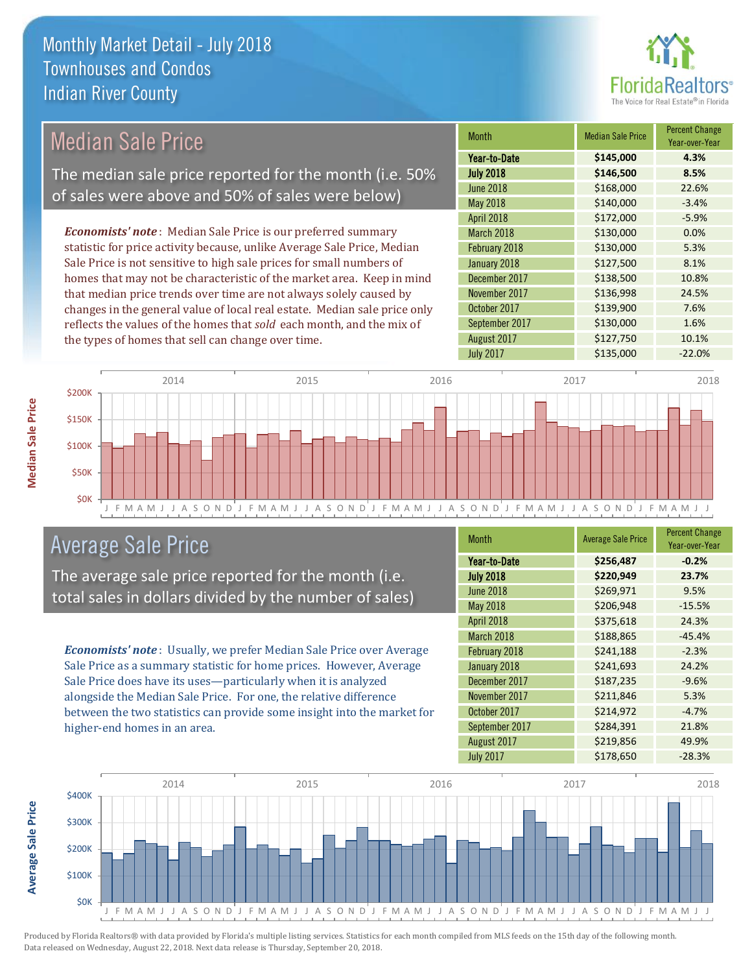

| <b>Median Sale Price</b>                                                  | <b>Month</b>     | <b>Median Sale Price</b> | Percent Change<br>Year-over-Year |
|---------------------------------------------------------------------------|------------------|--------------------------|----------------------------------|
|                                                                           | Year-to-Date     | \$145,000                | 4.3%                             |
| The median sale price reported for the month (i.e. 50%                    | <b>July 2018</b> | \$146,500                | 8.5%                             |
| of sales were above and 50% of sales were below)                          | <b>June 2018</b> | \$168,000                | 22.6%                            |
|                                                                           | May 2018         | \$140,000                | $-3.4%$                          |
|                                                                           | April 2018       | \$172,000                | $-5.9%$                          |
| <b>Economists' note:</b> Median Sale Price is our preferred summary       | March 2018       | \$130,000                | 0.0%                             |
| statistic for price activity because, unlike Average Sale Price, Median   | February 2018    | \$130,000                | 5.3%                             |
| Sale Price is not sensitive to high sale prices for small numbers of      | January 2018     | \$127,500                | 8.1%                             |
| homes that may not be characteristic of the market area. Keep in mind     | December 2017    | \$138,500                | 10.8%                            |
| that median price trends over time are not always solely caused by        | November 2017    | \$136,998                | 24.5%                            |
| changes in the general value of local real estate. Median sale price only | October 2017     | \$139,900                | 7.6%                             |
| reflects the values of the homes that sold each month, and the mix of     | September 2017   | \$130,000                | 1.6%                             |
| the types of homes that sell can change over time.                        | August 2017      | \$127,750                | 10.1%                            |
|                                                                           | <b>July 2017</b> | \$135,000                | $-22.0%$                         |
|                                                                           |                  |                          |                                  |
| 2014<br>2016<br>2015                                                      | 2017             |                          | 2018                             |
| \$200K                                                                    |                  |                          |                                  |



## Average Sale Price

The average sale price reported for the month (i.e. total sales in dollars divided by the number of sales)

*Economists' note* : Usually, we prefer Median Sale Price over Average Sale Price as a summary statistic for home prices. However, Average Sale Price does have its uses—particularly when it is analyzed alongside the Median Sale Price. For one, the relative difference between the two statistics can provide some insight into the market for higher-end homes in an area.

| <b>Month</b>     | <b>Average Sale Price</b> | <b>Percent Change</b><br>Year-over-Year |
|------------------|---------------------------|-----------------------------------------|
| Year-to-Date     | \$256,487                 | $-0.2%$                                 |
| <b>July 2018</b> | \$220,949                 | 23.7%                                   |
| <b>June 2018</b> | \$269,971                 | 9.5%                                    |
| <b>May 2018</b>  | \$206,948                 | $-15.5%$                                |
| April 2018       | \$375,618                 | 24.3%                                   |
| March 2018       | \$188,865                 | $-45.4%$                                |
| February 2018    | \$241,188                 | $-2.3%$                                 |
| January 2018     | \$241,693                 | 24.2%                                   |
| December 2017    | \$187,235                 | $-9.6%$                                 |
| November 2017    | \$211,846                 | 5.3%                                    |
| October 2017     | \$214,972                 | $-4.7%$                                 |
| September 2017   | \$284,391                 | 21.8%                                   |
| August 2017      | \$219,856                 | 49.9%                                   |
| <b>July 2017</b> | \$178,650                 | $-28.3%$                                |

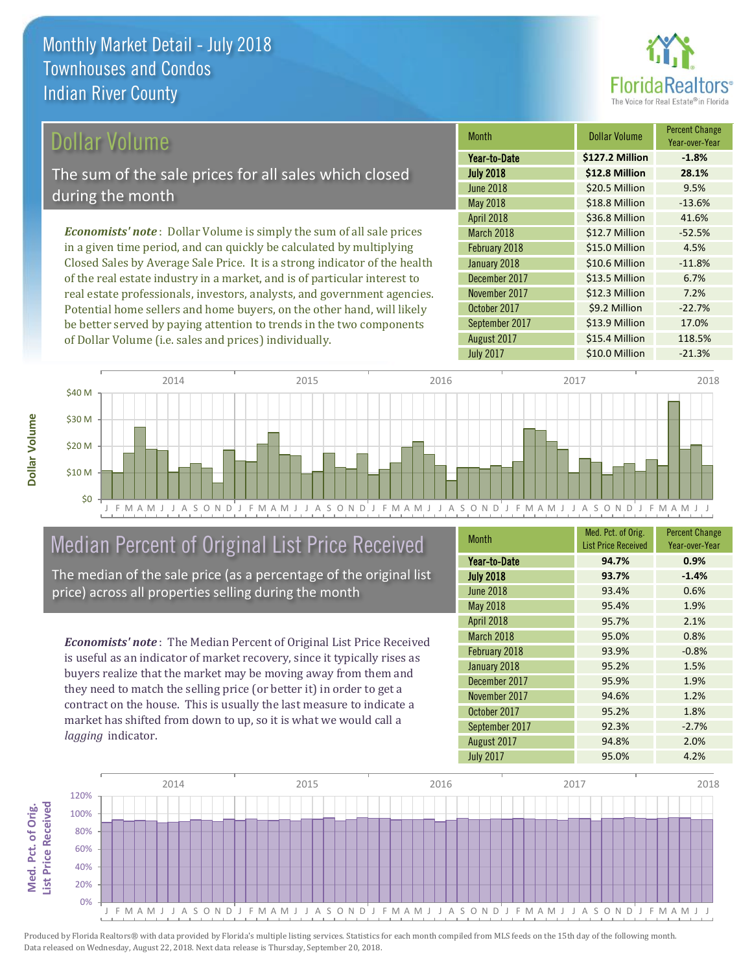

### Dollar Volume

The sum of the sale prices for all sales which closed during the month

*Economists' note* : Dollar Volume is simply the sum of all sale prices in a given time period, and can quickly be calculated by multiplying Closed Sales by Average Sale Price. It is a strong indicator of the health of the real estate industry in a market, and is of particular interest to real estate professionals, investors, analysts, and government agencies. Potential home sellers and home buyers, on the other hand, will likely be better served by paying attention to trends in the two components of Dollar Volume (i.e. sales and prices) individually.

| <b>Month</b>      | Dollar Volume   | <b>Percent Change</b><br>Year-over-Year |
|-------------------|-----------------|-----------------------------------------|
| Year-to-Date      | \$127.2 Million | $-1.8%$                                 |
| <b>July 2018</b>  | \$12.8 Million  | 28.1%                                   |
| <b>June 2018</b>  | \$20.5 Million  | 9.5%                                    |
| May 2018          | \$18.8 Million  | $-13.6%$                                |
| <b>April 2018</b> | \$36.8 Million  | 41.6%                                   |
| March 2018        | \$12.7 Million  | $-52.5%$                                |
| February 2018     | \$15.0 Million  | 4.5%                                    |
| January 2018      | \$10.6 Million  | $-11.8%$                                |
| December 2017     | \$13.5 Million  | 6.7%                                    |
| November 2017     | \$12.3 Million  | 7.2%                                    |
| October 2017      | \$9.2 Million   | $-22.7%$                                |
| September 2017    | \$13.9 Million  | 17.0%                                   |
| August 2017       | \$15.4 Million  | 118.5%                                  |
| <b>July 2017</b>  | \$10.0 Million  | $-21.3%$                                |



# Median Percent of Original List Price Received

The median of the sale price (as a percentage of the original list price) across all properties selling during the month

*Economists' note* : The Median Percent of Original List Price Received is useful as an indicator of market recovery, since it typically rises as buyers realize that the market may be moving away from them and they need to match the selling price (or better it) in order to get a contract on the house. This is usually the last measure to indicate a market has shifted from down to up, so it is what we would call a *lagging* indicator.

| <b>Month</b>     | Med. Pct. of Orig.<br><b>List Price Received</b> | <b>Percent Change</b><br>Year-over-Year |
|------------------|--------------------------------------------------|-----------------------------------------|
| Year-to-Date     | 94.7%                                            | 0.9%                                    |
| <b>July 2018</b> | 93.7%                                            | $-1.4%$                                 |
| <b>June 2018</b> | 93.4%                                            | 0.6%                                    |
| <b>May 2018</b>  | 95.4%                                            | 1.9%                                    |
| April 2018       | 95.7%                                            | 2.1%                                    |
| March 2018       | 95.0%                                            | 0.8%                                    |
| February 2018    | 93.9%                                            | $-0.8%$                                 |
| January 2018     | 95.2%                                            | 1.5%                                    |
| December 2017    | 95.9%                                            | 1.9%                                    |
| November 2017    | 94.6%                                            | 1.2%                                    |
| October 2017     | 95.2%                                            | 1.8%                                    |
| September 2017   | 92.3%                                            | $-2.7%$                                 |
| August 2017      | 94.8%                                            | 2.0%                                    |
| <b>July 2017</b> | 95.0%                                            | 4.2%                                    |

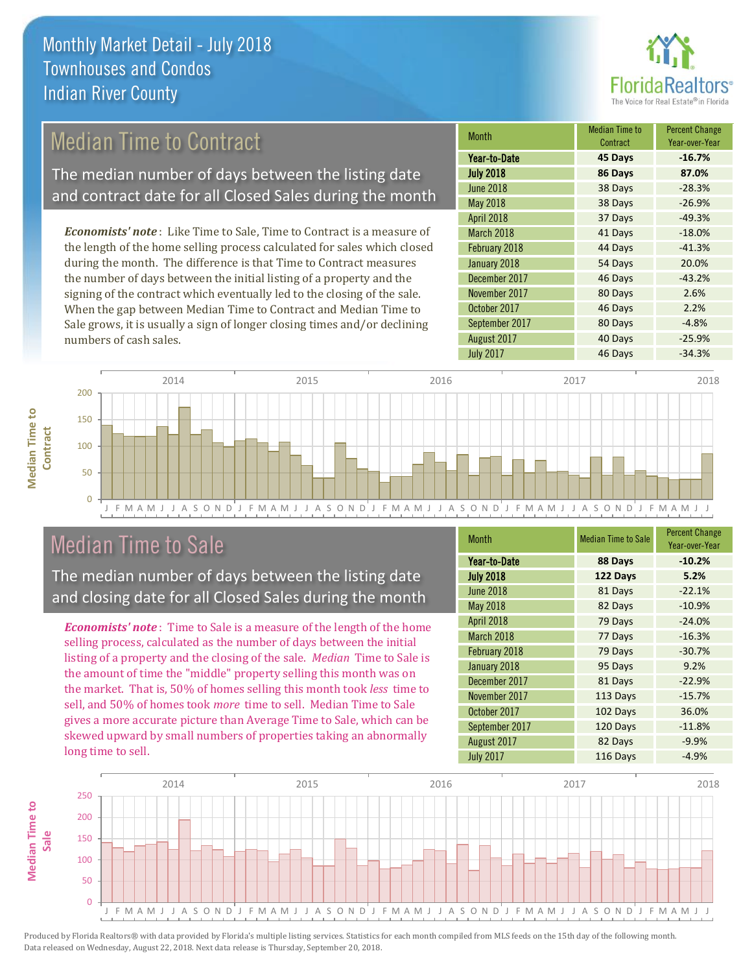

## Median Time to Contract

The median number of days between the listing date and contract date for all Closed Sales during the month

*Economists' note* : Like Time to Sale, Time to Contract is a measure of the length of the home selling process calculated for sales which closed during the month. The difference is that Time to Contract measures the number of days between the initial listing of a property and the signing of the contract which eventually led to the closing of the sale. When the gap between Median Time to Contract and Median Time to Sale grows, it is usually a sign of longer closing times and/or declining numbers of cash sales.

| <b>Month</b>      | <b>Median Time to</b><br>Contract | <b>Percent Change</b><br>Year-over-Year |
|-------------------|-----------------------------------|-----------------------------------------|
| Year-to-Date      | 45 Days                           | $-16.7%$                                |
| <b>July 2018</b>  | 86 Days                           | 87.0%                                   |
| <b>June 2018</b>  | 38 Days                           | $-28.3%$                                |
| May 2018          | 38 Days                           | $-26.9%$                                |
| <b>April 2018</b> | 37 Days                           | $-49.3%$                                |
| March 2018        | 41 Days                           | $-18.0%$                                |
| February 2018     | 44 Days                           | $-41.3%$                                |
| January 2018      | 54 Days                           | 20.0%                                   |
| December 2017     | 46 Days                           | $-43.2%$                                |
| November 2017     | 80 Days                           | 2.6%                                    |
| October 2017      | 46 Days                           | 2.2%                                    |
| September 2017    | 80 Days                           | $-4.8%$                                 |
| August 2017       | 40 Days                           | $-25.9%$                                |
| <b>July 2017</b>  | 46 Days                           | $-34.3%$                                |



### Median Time to Sale

**Median Time to** 

**Median Time to** 

The median number of days between the listing date and closing date for all Closed Sales during the month

*Economists' note* : Time to Sale is a measure of the length of the home selling process, calculated as the number of days between the initial listing of a property and the closing of the sale. *Median* Time to Sale is the amount of time the "middle" property selling this month was on the market. That is, 50% of homes selling this month took *less* time to sell, and 50% of homes took *more* time to sell. Median Time to Sale gives a more accurate picture than Average Time to Sale, which can be skewed upward by small numbers of properties taking an abnormally long time to sell.

| <b>Month</b>     | <b>Median Time to Sale</b> | <b>Percent Change</b><br>Year-over-Year |  |
|------------------|----------------------------|-----------------------------------------|--|
| Year-to-Date     | 88 Days                    | $-10.2%$                                |  |
| <b>July 2018</b> | 122 Days                   | 5.2%                                    |  |
| <b>June 2018</b> | 81 Days                    | $-22.1%$                                |  |
| May 2018         | 82 Days                    | $-10.9%$                                |  |
| April 2018       | 79 Days                    | $-24.0%$                                |  |
| March 2018       | 77 Days                    | $-16.3%$                                |  |
| February 2018    | 79 Days                    | $-30.7%$                                |  |
| January 2018     | 95 Days                    | 9.2%                                    |  |
| December 2017    | 81 Days                    | $-22.9%$                                |  |
| November 2017    | 113 Days                   | $-15.7%$                                |  |
| October 2017     | 102 Days                   | 36.0%                                   |  |
| September 2017   | 120 Days                   | $-11.8%$                                |  |
| August 2017      | 82 Days                    | $-9.9%$                                 |  |
| <b>July 2017</b> | 116 Days                   | $-4.9%$                                 |  |

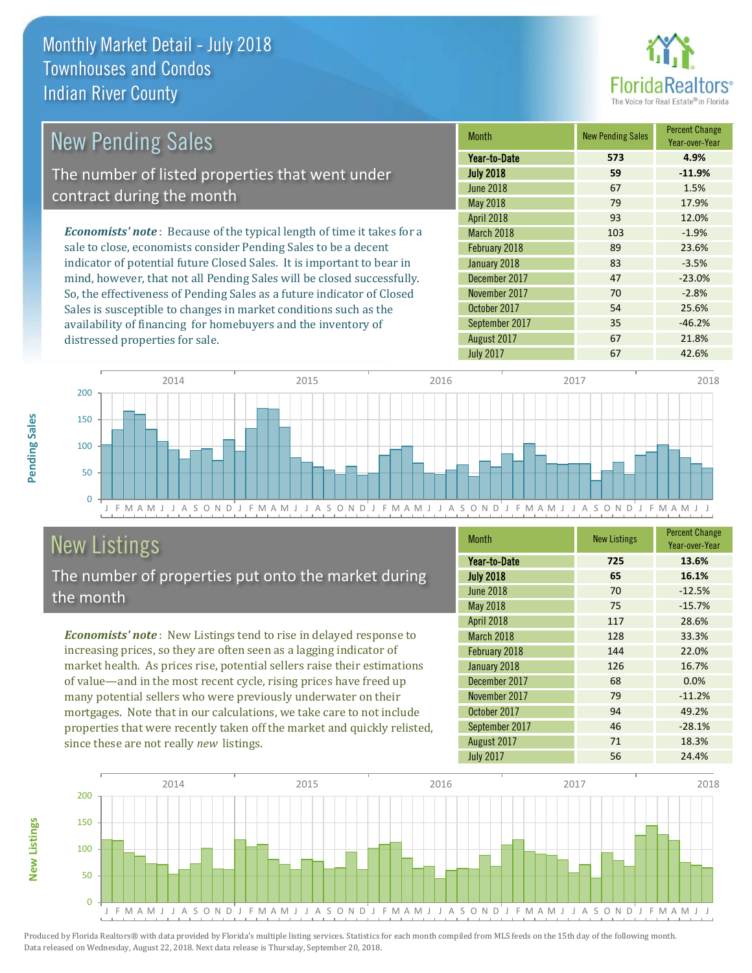distressed properties for sale.



| <b>New Pending Sales</b>                                                       | <b>Month</b>      | <b>New Pending Sales</b> | <b>Percent Change</b><br>Year-over-Year |
|--------------------------------------------------------------------------------|-------------------|--------------------------|-----------------------------------------|
|                                                                                | Year-to-Date      | 573                      | 4.9%                                    |
| The number of listed properties that went under                                | <b>July 2018</b>  | 59                       | $-11.9%$                                |
| contract during the month                                                      | <b>June 2018</b>  | 67                       | 1.5%                                    |
|                                                                                | <b>May 2018</b>   | 79                       | 17.9%                                   |
|                                                                                | <b>April 2018</b> | 93                       | 12.0%                                   |
| <b>Economists' note</b> : Because of the typical length of time it takes for a | March 2018        | 103                      | $-1.9%$                                 |
| sale to close, economists consider Pending Sales to be a decent                | February 2018     | 89                       | 23.6%                                   |
| indicator of potential future Closed Sales. It is important to bear in         | January 2018      | 83                       | $-3.5%$                                 |
| mind, however, that not all Pending Sales will be closed successfully.         | December 2017     | 47                       | $-23.0%$                                |
| So, the effectiveness of Pending Sales as a future indicator of Closed         | November 2017     | 70                       | $-2.8%$                                 |
| Sales is susceptible to changes in market conditions such as the               | October 2017      | 54                       | 25.6%                                   |

J F M A M J J A S O N D J F M A M J J A S O N D J F M A M J J A S O N D J F M A M J J A S O N D J F M A M J J  $\Omega$ 50 100 150 200 2014 2015 2016 2017 2018

# New Listings

The number of properties put onto the market during the month

availability of financing for homebuyers and the inventory of

*Economists' note* : New Listings tend to rise in delayed response to increasing prices, so they are often seen as a lagging indicator of market health. As prices rise, potential sellers raise their estimations of value—and in the most recent cycle, rising prices have freed up many potential sellers who were previously underwater on their mortgages. Note that in our calculations, we take care to not include properties that were recently taken off the market and quickly relisted, since these are not really *new* listings.

| <b>Month</b>     | <b>New Listings</b> | <b>Percent Change</b><br>Year-over-Year |
|------------------|---------------------|-----------------------------------------|
| Year-to-Date     | 725                 | 13.6%                                   |
| <b>July 2018</b> | 65                  | 16.1%                                   |
| <b>June 2018</b> | 70                  | $-12.5%$                                |
| <b>May 2018</b>  | 75                  | $-15.7%$                                |
| April 2018       | 117                 | 28.6%                                   |
| March 2018       | 128                 | 33.3%                                   |
| February 2018    | 144                 | 22.0%                                   |
| January 2018     | 126                 | 16.7%                                   |
| December 2017    | 68                  | 0.0%                                    |
| November 2017    | 79                  | $-11.2%$                                |
| October 2017     | 94                  | 49.2%                                   |
| September 2017   | 46                  | $-28.1%$                                |
| August 2017      | 71                  | 18.3%                                   |
| <b>July 2017</b> | 56                  | 24.4%                                   |

July 2017 67 42.6%

September 2017 135 -46.2% August 2017 **67 21.8%** 



Produced by Florida Realtors® with data provided by Florida's multiple listing services. Statistics for each month compiled from MLS feeds on the 15th day of the following month. Data released on Wednesday, August 22, 2018. Next data release is Thursday, September 20, 2018.

**New Listings**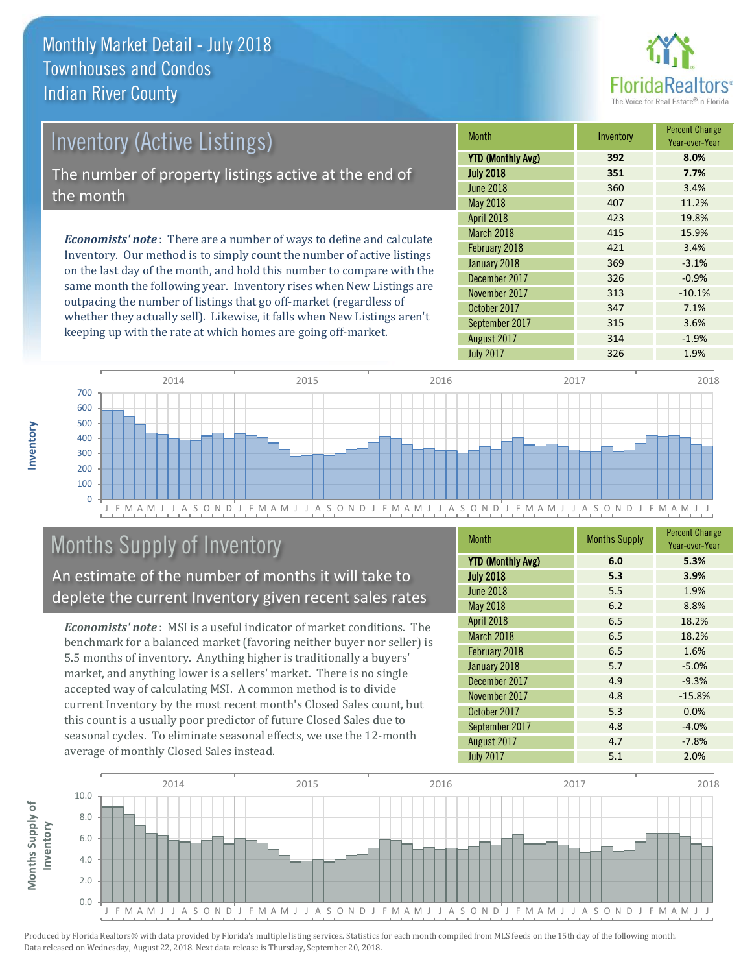

# Inventory (Active Listings) The number of property listings active at the end of the month

*Economists' note* : There are a number of ways to define and calculate Inventory. Our method is to simply count the number of active listings on the last day of the month, and hold this number to compare with the same month the following year. Inventory rises when New Listings are outpacing the number of listings that go off-market (regardless of whether they actually sell). Likewise, it falls when New Listings aren't keeping up with the rate at which homes are going off-market.

| Month                    | Inventory | <b>Percent Change</b><br>Year-over-Year |
|--------------------------|-----------|-----------------------------------------|
| <b>YTD (Monthly Avg)</b> | 392       | 8.0%                                    |
| <b>July 2018</b>         | 351       | 7.7%                                    |
| <b>June 2018</b>         | 360       | 3.4%                                    |
| <b>May 2018</b>          | 407       | 11.2%                                   |
| April 2018               | 423       | 19.8%                                   |
| March 2018               | 415       | 15.9%                                   |
| February 2018            | 421       | 3.4%                                    |
| January 2018             | 369       | $-3.1%$                                 |
| December 2017            | 326       | $-0.9%$                                 |
| November 2017            | 313       | $-10.1%$                                |
| October 2017             | 347       | 7.1%                                    |
| September 2017           | 315       | 3.6%                                    |
| August 2017              | 314       | $-1.9%$                                 |
| <b>July 2017</b>         | 326       | 1.9%                                    |



# Months Supply of Inventory

An estimate of the number of months it will take to deplete the current Inventory given recent sales rates

*Economists' note* : MSI is a useful indicator of market conditions. The benchmark for a balanced market (favoring neither buyer nor seller) is 5.5 months of inventory. Anything higher is traditionally a buyers' market, and anything lower is a sellers' market. There is no single accepted way of calculating MSI. A common method is to divide current Inventory by the most recent month's Closed Sales count, but this count is a usually poor predictor of future Closed Sales due to seasonal cycles. To eliminate seasonal effects, we use the 12-month average of monthly Closed Sales instead.

| <b>Month</b>             | <b>Months Supply</b> | <b>Percent Change</b><br>Year-over-Year |
|--------------------------|----------------------|-----------------------------------------|
| <b>YTD (Monthly Avg)</b> | 6.0                  | 5.3%                                    |
| <b>July 2018</b>         | 5.3                  | 3.9%                                    |
| <b>June 2018</b>         | 5.5                  | 1.9%                                    |
| <b>May 2018</b>          | 6.2                  | 8.8%                                    |
| April 2018               | 6.5                  | 18.2%                                   |
| March 2018               | 6.5                  | 18.2%                                   |
| February 2018            | 6.5                  | 1.6%                                    |
| January 2018             | 5.7                  | $-5.0%$                                 |
| December 2017            | 4.9                  | $-9.3%$                                 |
| November 2017            | 4.8                  | $-15.8%$                                |
| October 2017             | 5.3                  | 0.0%                                    |
| September 2017           | 4.8                  | $-4.0%$                                 |
| August 2017              | 4.7                  | $-7.8%$                                 |
| <b>July 2017</b>         | 5.1                  | 2.0%                                    |

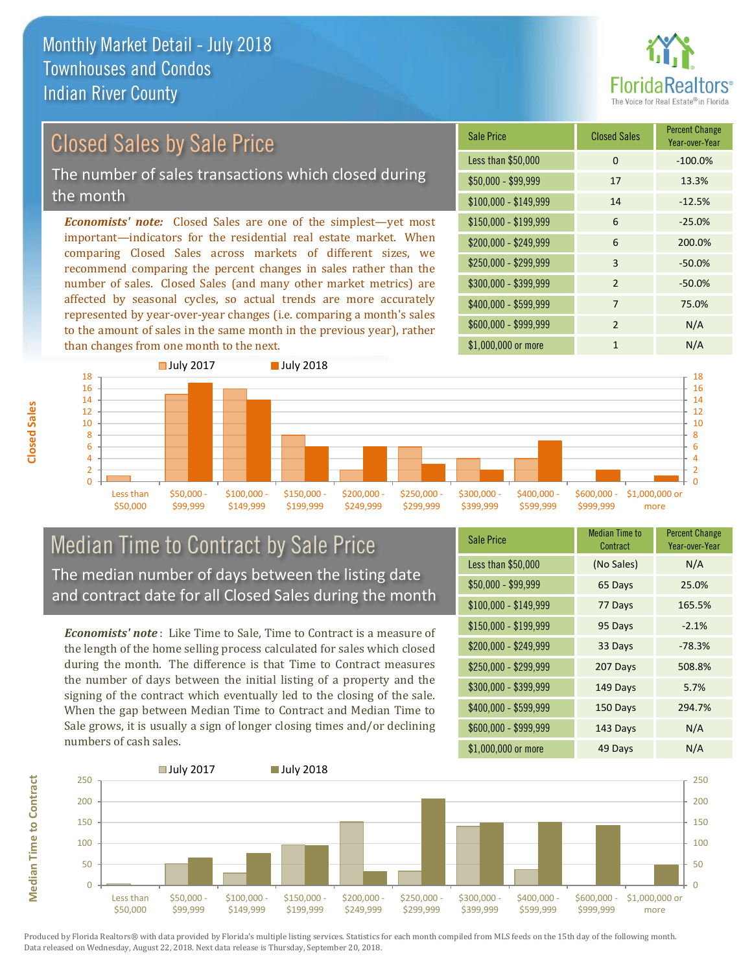

### Closed Sales by Sale Price

The number of sales transactions which closed during the month

*Economists' note:* Closed Sales are one of the simplest—yet most important—indicators for the residential real estate market. When comparing Closed Sales across markets of different sizes, we recommend comparing the percent changes in sales rather than the number of sales. Closed Sales (and many other market metrics) are affected by seasonal cycles, so actual trends are more accurately represented by year-over-year changes (i.e. comparing a month's sales to the amount of sales in the same month in the previous year), rather than changes from one month to the next.





### Median Time to Contract by Sale Price The median number of days between the listing date and contract date for all Closed Sales during the month

*Economists' note* : Like Time to Sale, Time to Contract is a measure of the length of the home selling process calculated for sales which closed during the month. The difference is that Time to Contract measures the number of days between the initial listing of a property and the signing of the contract which eventually led to the closing of the sale. When the gap between Median Time to Contract and Median Time to Sale grows, it is usually a sign of longer closing times and/or declining numbers of cash sales.

| <b>Sale Price</b>     | Median Time to<br>Contract | <b>Percent Change</b><br>Year-over-Year |
|-----------------------|----------------------------|-----------------------------------------|
| Less than \$50,000    | (No Sales)                 | N/A                                     |
| \$50,000 - \$99,999   | 65 Days                    | 25.0%                                   |
| $$100,000 - $149,999$ | 77 Days                    | 165.5%                                  |
| $$150,000 - $199,999$ | 95 Days                    | $-2.1%$                                 |
| \$200,000 - \$249,999 | 33 Days                    | $-78.3%$                                |
| \$250,000 - \$299,999 | 207 Days                   | 508.8%                                  |
| \$300,000 - \$399,999 | 149 Days                   | 5.7%                                    |
| \$400,000 - \$599,999 | 150 Days                   | 294.7%                                  |
| \$600,000 - \$999,999 | 143 Days                   | N/A                                     |
| \$1,000,000 or more   | 49 Days                    | N/A                                     |



Produced by Florida Realtors® with data provided by Florida's multiple listing services. Statistics for each month compiled from MLS feeds on the 15th day of the following month. Data released on Wednesday, August 22, 2018. Next data release is Thursday, September 20, 2018.

**Median Time to Contract**

**Median Time to Contract**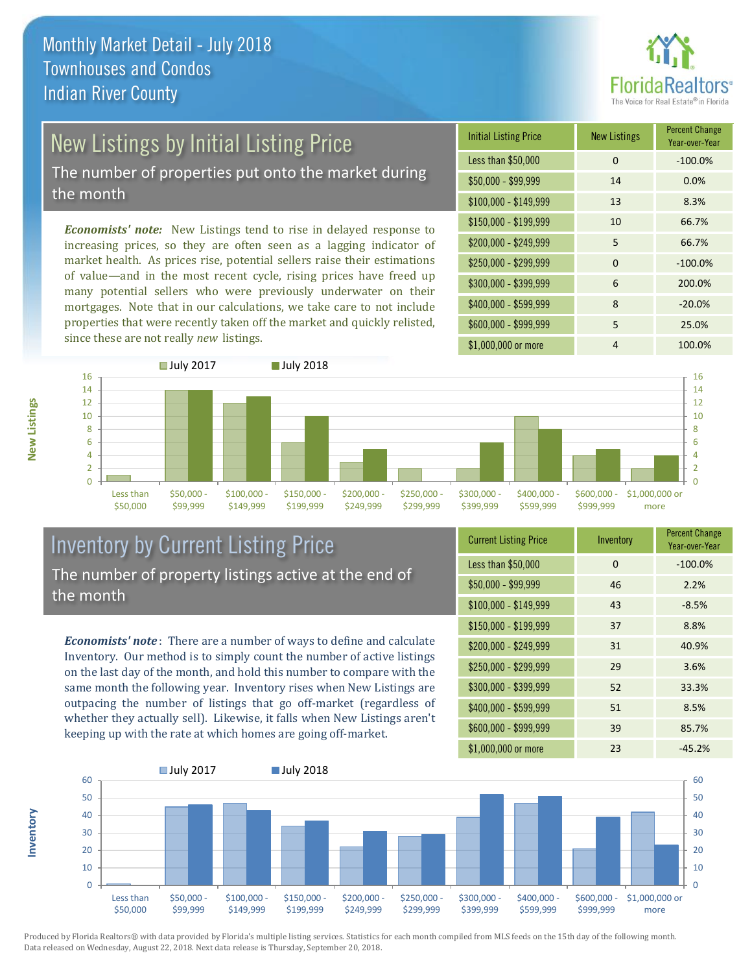

# New Listings by Initial Listing Price

The number of properties put onto the market during the month

*Economists' note:* New Listings tend to rise in delayed response to increasing prices, so they are often seen as a lagging indicator of market health. As prices rise, potential sellers raise their estimations of value—and in the most recent cycle, rising prices have freed up many potential sellers who were previously underwater on their mortgages. Note that in our calculations, we take care to not include properties that were recently taken off the market and quickly relisted, since these are not really *new* listings.

| <b>Initial Listing Price</b> | <b>New Listings</b> | <b>Percent Change</b><br>Year-over-Year |
|------------------------------|---------------------|-----------------------------------------|
| Less than \$50,000           | $\Omega$            | $-100.0%$                               |
| \$50,000 - \$99,999          | 14                  | 0.0%                                    |
| $$100,000 - $149,999$        | 13                  | 8.3%                                    |
| $$150,000 - $199,999$        | 10                  | 66.7%                                   |
| \$200,000 - \$249,999        | 5                   | 66.7%                                   |
| \$250,000 - \$299,999        | $\Omega$            | $-100.0%$                               |
| \$300,000 - \$399,999        | 6                   | 200.0%                                  |
| \$400,000 - \$599,999        | 8                   | $-20.0%$                                |
| \$600,000 - \$999,999        | 5                   | 25.0%                                   |
| \$1,000,000 or more          | 4                   | 100.0%                                  |



### Inventory by Current Listing Price The number of property listings active at the end of the month

*Economists' note* : There are a number of ways to define and calculate Inventory. Our method is to simply count the number of active listings on the last day of the month, and hold this number to compare with the same month the following year. Inventory rises when New Listings are outpacing the number of listings that go off-market (regardless of whether they actually sell). Likewise, it falls when New Listings aren't keeping up with the rate at which homes are going off-market.

| <b>Current Listing Price</b> | Inventory | <b>Percent Change</b><br>Year-over-Year |
|------------------------------|-----------|-----------------------------------------|
| Less than \$50,000           | 0         | $-100.0%$                               |
| $$50,000 - $99,999$          | 46        | 2.2%                                    |
| $$100,000 - $149,999$        | 43        | $-8.5%$                                 |
| $$150,000 - $199,999$        | 37        | 8.8%                                    |
| \$200,000 - \$249,999        | 31        | 40.9%                                   |
| \$250,000 - \$299,999        | 29        | 3.6%                                    |
| \$300,000 - \$399,999        | 52        | 33.3%                                   |
| $$400,000 - $599,999$        | 51        | 8.5%                                    |
| \$600,000 - \$999,999        | 39        | 85.7%                                   |
| \$1,000,000 or more          | 23        | $-45.2%$                                |



Produced by Florida Realtors® with data provided by Florida's multiple listing services. Statistics for each month compiled from MLS feeds on the 15th day of the following month. Data released on Wednesday, August 22, 2018. Next data release is Thursday, September 20, 2018.

**Inventory**